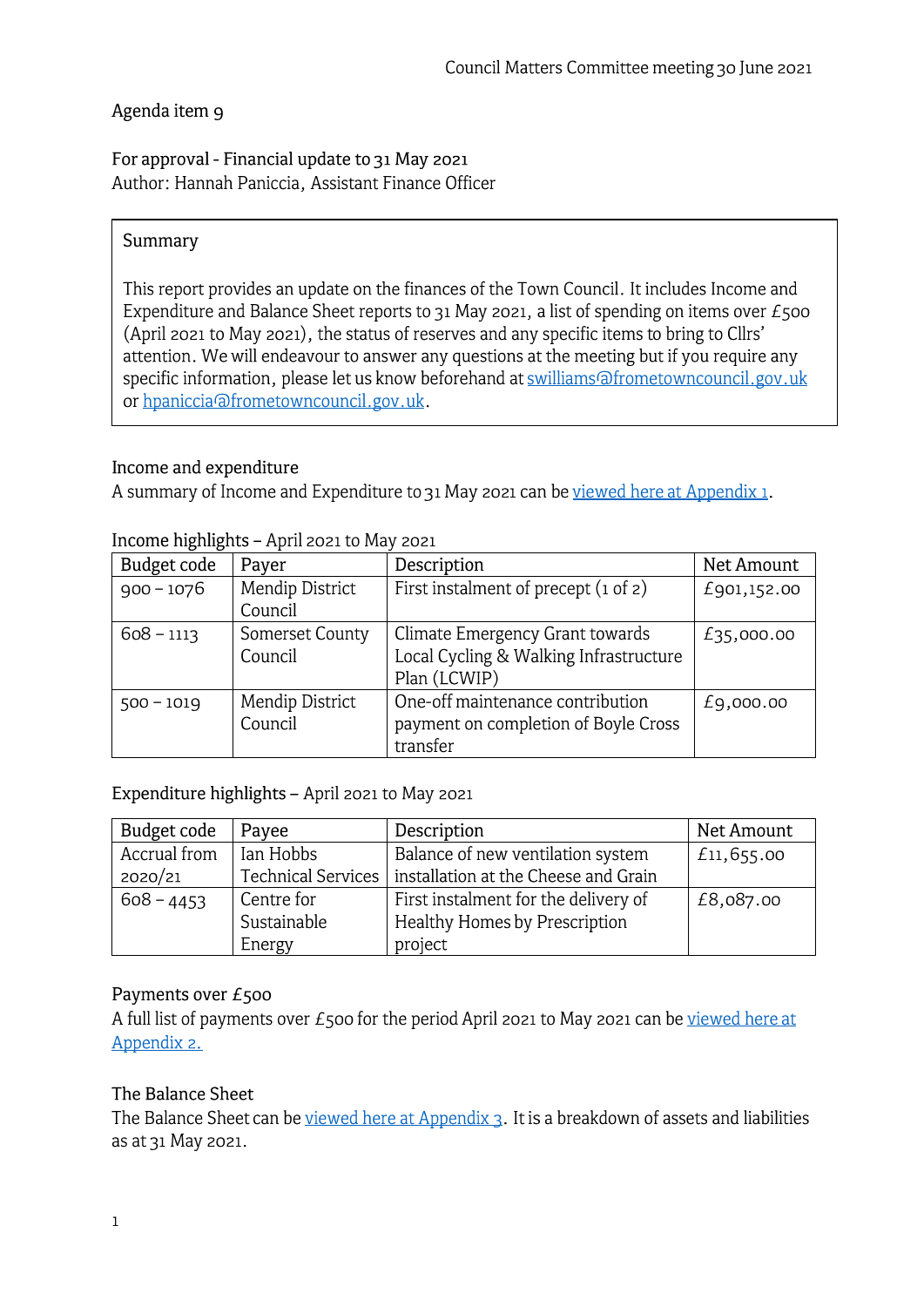### Agenda item 9

For approval - Financial update to 31 May 2021 Author: Hannah Paniccia, Assistant Finance Officer

### Summary

This report provides an update on the finances of the Town Council. It includes Income and Expenditure and Balance Sheet reports to 31 May 2021, a list of spending on items over  $E_5$ 00 (April 2021 to May 2021), the status of reserves and any specific items to bring to Cllrs' attention. We will endeavour to answer any questions at the meeting but if you require any specific information, please let us know beforehand at swilliams@frometowncouncil. gov. uk or hpaniccia afrometowncouncil.gov.uk.

### Income and expenditure

A summary of Income and Expenditure to 31 May 2021 can be [viewed here at Appendix 1](https://www.frometowncouncil.gov.uk/wp-content/uploads/2021/06/Appendix-1-Detailed-Income-Expenditure-by-Budget-Heading-31_05_2021.pdf) .

| Budget code  | Payer           | Description                              | Net Amount   |
|--------------|-----------------|------------------------------------------|--------------|
| $900 - 1076$ | Mendip District | First instalment of precept $(i$ of $z)$ | £901,152.00  |
|              | Council         |                                          |              |
| $608 - 1113$ | Somerset County | Climate Emergency Grant towards          | £35,000.00   |
|              | Council         | Local Cycling & Walking Infrastructure   |              |
|              |                 | Plan (LCWIP)                             |              |
| $500 - 1019$ | Mendip District | One-off maintenance contribution         | $E_9,000.00$ |
|              | Council         | payment on completion of Boyle Cross     |              |
|              |                 | transfer                                 |              |

#### Income highlights - April 2021 to May 2021

Expenditure highlights - April 2021 to May 2021

| Budget code  | Payee                     | Description                          | Net Amount |
|--------------|---------------------------|--------------------------------------|------------|
| Accrual from | Ian Hobbs                 | Balance of new ventilation system    | £11,655.00 |
| 2020/21      | <b>Technical Services</b> | installation at the Cheese and Grain |            |
| $608 - 4453$ | Centre for                | First instalment for the delivery of | £8,087.00  |
|              | Sustainable               | Healthy Homes by Prescription        |            |
|              | Energy                    | project                              |            |

### Payments over £500

A full list of payments over  $E_500$  for the period April 2021 to May 2021 can be viewed here at [Appendix 2.](https://www.frometowncouncil.gov.uk/wp-content/uploads/2021/06/Appendix-2-Payments-over-500.pdf) 

### The Balance Sheet

The Balance Sheet can be [viewed here at Appendix 3.](https://www.frometowncouncil.gov.uk/wp-content/uploads/2021/06/Appendix-3-Balance-Sheet-as-at-31_05_2021.pdf) It is a breakdown of assets and liabilities as at 31 May 2021.